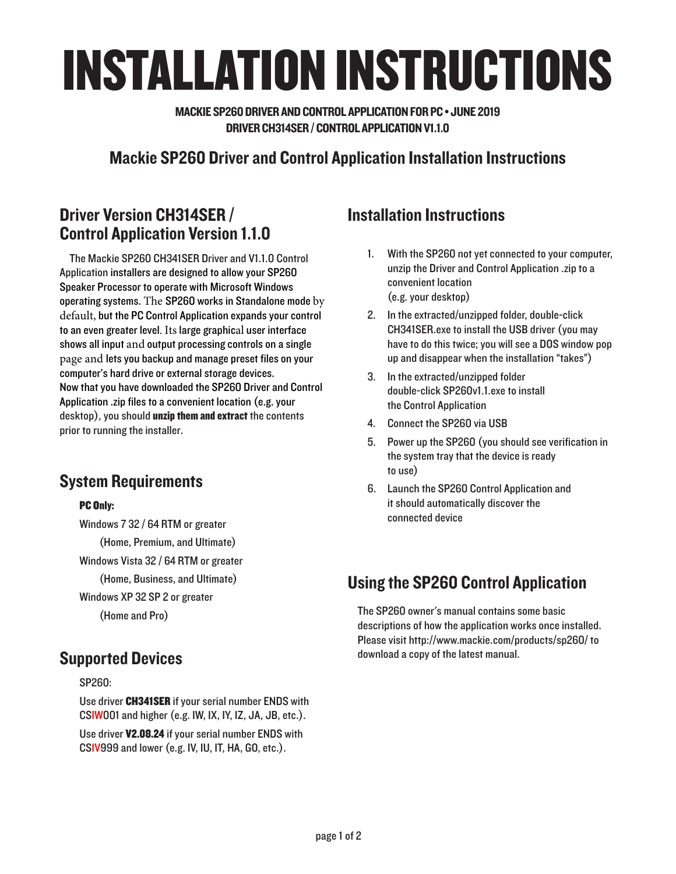# INSTALLATION INSTRUCTIONS

MACKIE SP260 DRIVER AND CONTROL APPLICATION FOR PC • JUNE 2019 DRIVER CH314SER / CONTROL APPLICATION V1.1.0

# Mackie SP260 Driver and Control Application Installation Instructions

# Driver Version CH314SER / Control Application Version 1.1.0

The Mackie SP260 CH341SER Driver and V1.1.0 Control Application installers are designed to allow your SP260 Speaker Processor to operate with Microsoft Windows operating systems. The SP260 works in Standalone mode by default, but the PC Control Application expands your control to an even greater level. Its large graphical user interface shows all input and output processing controls on a single page and lets you backup and manage preset files on your computer's hard drive or external storage devices. Now that you have downloaded the SP260 Driver and Control Application .zip files to a convenient location (e.g. your desktop), you should unzip them and extract the contents prior to running the installer.

# System Requirements

#### PC Only:

Windows 7 32 / 64 RTM or greater (Home, Premium, and Ultimate) Windows Vista 32 / 64 RTM or greater (Home, Business, and Ultimate) Windows XP 32 SP 2 or greater (Home and Pro)

### Supported Devices

SP260:

Use driver CH341SER if your serial number ENDS with CSIW001 and higher (e.g. IW, IX, IY, IZ, JA, JB, etc.).

Use driver V2.08.24 if your serial number ENDS with CSIV999 and lower (e.g. IV, IU, IT, HA, GO, etc.).

## Installation Instructions

- 1. With the SP260 not yet connected to your computer, unzip the Driver and Control Application .zip to a convenient location (e.g. your desktop)
- 2. In the extracted/unzipped folder, double-click CH341SER.exe to install the USB driver (you may have to do this twice; you will see a DOS window pop up and disappear when the installation "takes")
- 3. In the extracted/unzipped folder double-click SP260v1.1.exe to install the Control Application
- 4. Connect the SP260 via USB
- 5. Power up the SP260 (you should see verification in the system tray that the device is ready to use)
- 6. Launch the SP260 Control Application and it should automatically discover the connected device

# Using the SP260 Control Application

The SP260 owner's manual contains some basic descriptions of how the application works once installed. Please visit http://www.mackie.com/products/sp260/ to download a copy of the latest manual.